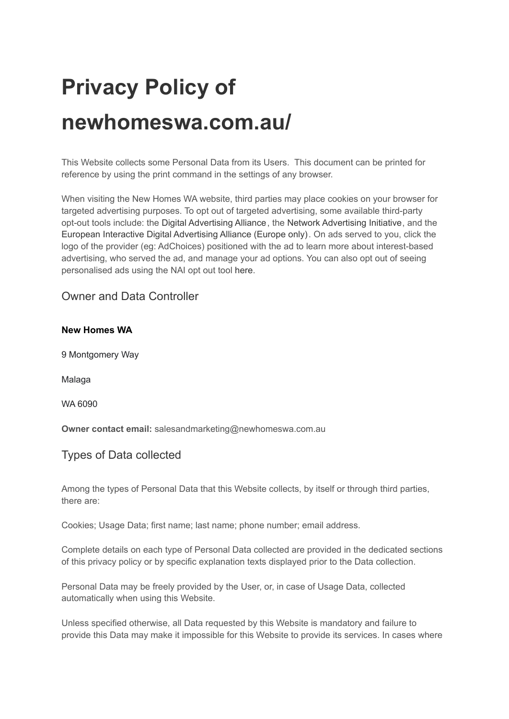# **Privacy Policy of newhomeswa.com.au/**

This Website collects some Personal Data from its Users. This document can be printed for reference by using the print command in the settings of any browser.

When visiting the New Homes WA website, third parties may place cookies on your browser for targeted advertising purposes. To opt out of targeted advertising, some available third-party opt-out tools include: the [Digital Advertising Alliance](http://www.aboutads.info/), the [Network Advertising Initiative](http://optout.networkadvertising.org/?c=1), and the [European Interactive Digital Advertising Alliance \(Europe only\)](https://help.adroll.com/hc/en-us/articles/%20http:/www.youronlinechoices.com/). On ads served to you, click the logo of the provider (eg: AdChoices) positioned with the ad to learn more about interest-based advertising, who served the ad, and manage your ad options. You can also opt out of seeing personalised ads using the NAI opt out tool [here](http://optout.networkadvertising.org/).

Owner and Data Controller

9 Montgomery Way

Malaga

WA 6090

**Owner contact email:** salesandmarketing@newhomeswa.com.au

# Types of Data collected

Among the types of Personal Data that this Website collects, by itself or through third parties, there are:

Cookies; Usage Data; first name; last name; phone number; email address.

Complete details on each type of Personal Data collected are provided in the dedicated sections of this privacy policy or by specific explanation texts displayed prior to the Data collection.

Personal Data may be freely provided by the User, or, in case of Usage Data, collected automatically when using this Website.

Unless specified otherwise, all Data requested by this Website is mandatory and failure to provide this Data may make it impossible for this Website to provide its services. In cases where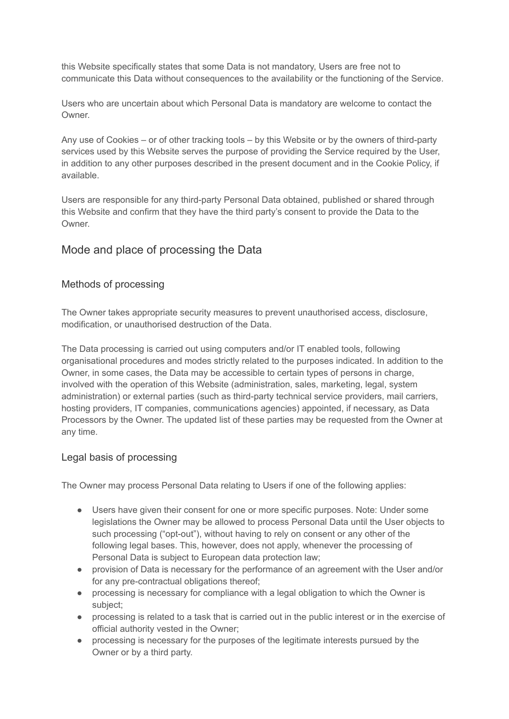this Website specifically states that some Data is not mandatory, Users are free not to communicate this Data without consequences to the availability or the functioning of the Service.

Users who are uncertain about which Personal Data is mandatory are welcome to contact the Owner.

Any use of Cookies – or of other tracking tools – by this Website or by the owners of third-party services used by this Website serves the purpose of providing the Service required by the User, in addition to any other purposes described in the present document and in the Cookie Policy, if available.

Users are responsible for any third-party Personal Data obtained, published or shared through this Website and confirm that they have the third party's consent to provide the Data to the **Owner** 

# Mode and place of processing the Data

# Methods of processing

The Owner takes appropriate security measures to prevent unauthorised access, disclosure, modification, or unauthorised destruction of the Data.

The Data processing is carried out using computers and/or IT enabled tools, following organisational procedures and modes strictly related to the purposes indicated. In addition to the Owner, in some cases, the Data may be accessible to certain types of persons in charge, involved with the operation of this Website (administration, sales, marketing, legal, system administration) or external parties (such as third-party technical service providers, mail carriers, hosting providers, IT companies, communications agencies) appointed, if necessary, as Data Processors by the Owner. The updated list of these parties may be requested from the Owner at any time.

# Legal basis of processing

The Owner may process Personal Data relating to Users if one of the following applies:

- Users have given their consent for one or more specific purposes. Note: Under some legislations the Owner may be allowed to process Personal Data until the User objects to such processing ("opt-out"), without having to rely on consent or any other of the following legal bases. This, however, does not apply, whenever the processing of Personal Data is subject to European data protection law;
- provision of Data is necessary for the performance of an agreement with the User and/or for any pre-contractual obligations thereof;
- processing is necessary for compliance with a legal obligation to which the Owner is subject;
- processing is related to a task that is carried out in the public interest or in the exercise of official authority vested in the Owner;
- processing is necessary for the purposes of the legitimate interests pursued by the Owner or by a third party.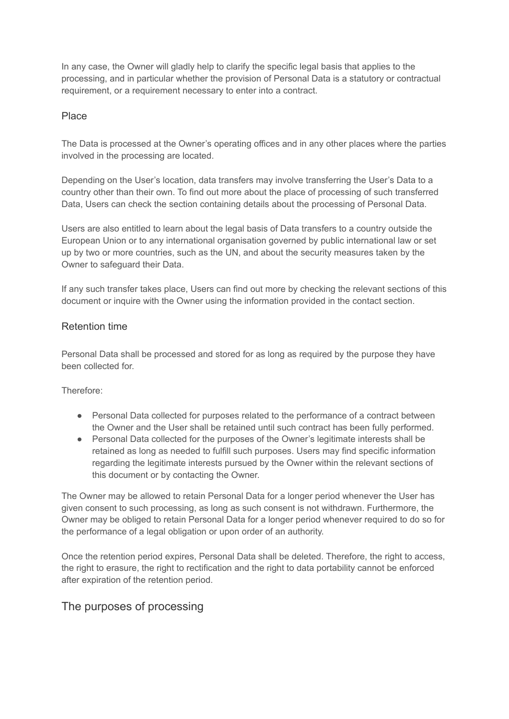In any case, the Owner will gladly help to clarify the specific legal basis that applies to the processing, and in particular whether the provision of Personal Data is a statutory or contractual requirement, or a requirement necessary to enter into a contract.

# Place

The Data is processed at the Owner's operating offices and in any other places where the parties involved in the processing are located.

Depending on the User's location, data transfers may involve transferring the User's Data to a country other than their own. To find out more about the place of processing of such transferred Data, Users can check the section containing details about the processing of Personal Data.

Users are also entitled to learn about the legal basis of Data transfers to a country outside the European Union or to any international organisation governed by public international law or set up by two or more countries, such as the UN, and about the security measures taken by the Owner to safeguard their Data.

If any such transfer takes place, Users can find out more by checking the relevant sections of this document or inquire with the Owner using the information provided in the contact section.

## Retention time

Personal Data shall be processed and stored for as long as required by the purpose they have been collected for.

Therefore:

- Personal Data collected for purposes related to the performance of a contract between the Owner and the User shall be retained until such contract has been fully performed.
- Personal Data collected for the purposes of the Owner's legitimate interests shall be retained as long as needed to fulfill such purposes. Users may find specific information regarding the legitimate interests pursued by the Owner within the relevant sections of this document or by contacting the Owner.

The Owner may be allowed to retain Personal Data for a longer period whenever the User has given consent to such processing, as long as such consent is not withdrawn. Furthermore, the Owner may be obliged to retain Personal Data for a longer period whenever required to do so for the performance of a legal obligation or upon order of an authority.

Once the retention period expires, Personal Data shall be deleted. Therefore, the right to access, the right to erasure, the right to rectification and the right to data portability cannot be enforced after expiration of the retention period.

# The purposes of processing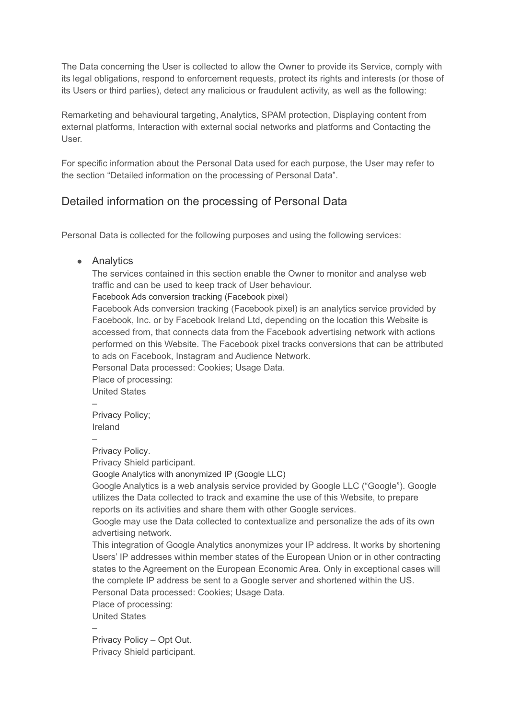The Data concerning the User is collected to allow the Owner to provide its Service, comply with its legal obligations, respond to enforcement requests, protect its rights and interests (or those of its Users or third parties), detect any malicious or fraudulent activity, as well as the following:

Remarketing and behavioural targeting, Analytics, SPAM protection, Displaying content from external platforms, Interaction with external social networks and platforms and Contacting the User.

For specific information about the Personal Data used for each purpose, the User may refer to the section "Detailed information on the processing of Personal Data".

# Detailed information on the processing of Personal Data

Personal Data is collected for the following purposes and using the following services:

## • Analytics

The services contained in this section enable the Owner to monitor and analyse web traffic and can be used to keep track of User behaviour.

Facebook Ads conversion tracking (Facebook pixel)

Facebook Ads conversion tracking (Facebook pixel) is an analytics service provided by Facebook, Inc. or by Facebook Ireland Ltd, depending on the location this Website is accessed from, that connects data from the Facebook advertising network with actions performed on this Website. The Facebook pixel tracks conversions that can be attributed to ads on Facebook, Instagram and Audience Network.

Personal Data processed: Cookies; Usage Data.

Place of processing: United States

– [Privacy Policy](https://www.facebook.com/about/privacy/); Ireland

–

[Privacy Policy](https://www.facebook.com/about/privacy/).

Privacy Shield participant.

Google Analytics with anonymized IP (Google LLC)

Google Analytics is a web analysis service provided by Google LLC ("Google"). Google utilizes the Data collected to track and examine the use of this Website, to prepare reports on its activities and share them with other Google services.

Google may use the Data collected to contextualize and personalize the ads of its own advertising network.

This integration of Google Analytics anonymizes your IP address. It works by shortening Users' IP addresses within member states of the European Union or in other contracting states to the Agreement on the European Economic Area. Only in exceptional cases will the complete IP address be sent to a Google server and shortened within the US. Personal Data processed: Cookies; Usage Data.

Place of processing:

United States

–

[Privacy Policy](https://policies.google.com/privacy) – [Opt Out.](https://tools.google.com/dlpage/gaoptout?hl=en) Privacy Shield participant.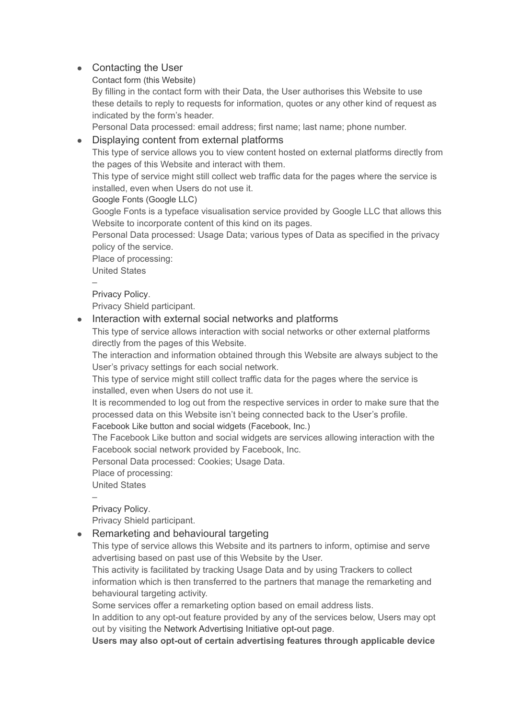# ● Contacting the User

# Contact form (this Website)

By filling in the contact form with their Data, the User authorises this Website to use these details to reply to requests for information, quotes or any other kind of request as indicated by the form's header.

Personal Data processed: email address; first name; last name; phone number.

# • Displaying content from external platforms

This type of service allows you to view content hosted on external platforms directly from the pages of this Website and interact with them.

This type of service might still collect web traffic data for the pages where the service is installed, even when Users do not use it.

# Google Fonts (Google LLC)

Google Fonts is a typeface visualisation service provided by Google LLC that allows this Website to incorporate content of this kind on its pages.

Personal Data processed: Usage Data; various types of Data as specified in the privacy policy of the service.

Place of processing:

United States

– [Privacy Policy](https://policies.google.com/privacy).

Privacy Shield participant.

# ● Interaction with external social networks and platforms

This type of service allows interaction with social networks or other external platforms directly from the pages of this Website.

The interaction and information obtained through this Website are always subject to the User's privacy settings for each social network.

This type of service might still collect traffic data for the pages where the service is installed, even when Users do not use it.

It is recommended to log out from the respective services in order to make sure that the processed data on this Website isn't being connected back to the User's profile.

Facebook Like button and social widgets (Facebook, Inc.)

The Facebook Like button and social widgets are services allowing interaction with the Facebook social network provided by Facebook, Inc.

Personal Data processed: Cookies; Usage Data.

Place of processing:

United States

–

[Privacy Policy](https://www.facebook.com/privacy/explanation).

Privacy Shield participant.

• Remarketing and behavioural targeting

This type of service allows this Website and its partners to inform, optimise and serve advertising based on past use of this Website by the User.

This activity is facilitated by tracking Usage Data and by using Trackers to collect information which is then transferred to the partners that manage the remarketing and behavioural targeting activity.

Some services offer a remarketing option based on email address lists.

In addition to any opt-out feature provided by any of the services below, Users may opt out by visiting the [Network Advertising Initiative](http://optout.networkadvertising.org/?c=1) opt-out page.

**Users may also opt-out of certain advertising features through applicable device**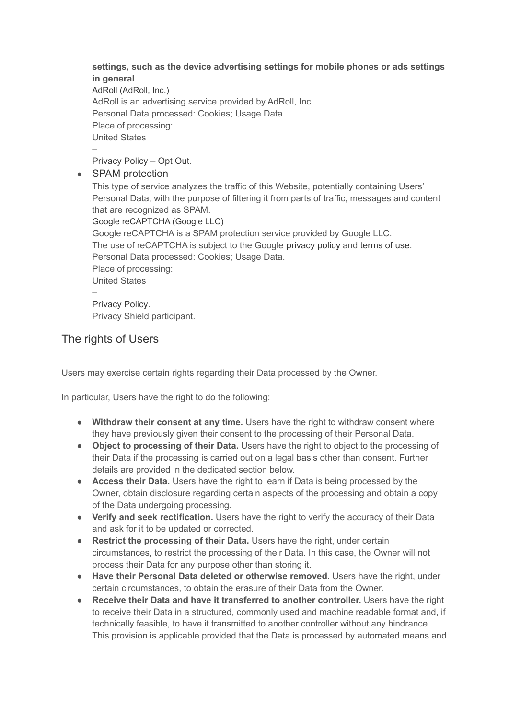## **settings, such as the device advertising settings for mobile phones or ads settings in general**.

AdRoll (AdRoll, Inc.) AdRoll is an advertising service provided by AdRoll, Inc. Personal Data processed: Cookies; Usage Data. Place of processing: United States –

[Privacy Policy](https://www.adrollgroup.com/privacy) – [Opt Out.](https://app.adroll.com/optout/)

• SPAM protection

This type of service analyzes the traffic of this Website, potentially containing Users' Personal Data, with the purpose of filtering it from parts of traffic, messages and content that are recognized as SPAM.

Google reCAPTCHA (Google LLC)

Google reCAPTCHA is a SPAM protection service provided by Google LLC. The use of reCAPTCHA is subject to the Google [privacy](https://www.google.com/policies/privacy/) policy and [terms of use.](https://www.google.com/intl/en/policies/terms/) Personal Data processed: Cookies; Usage Data. Place of processing: United States –

[Privacy Policy](https://policies.google.com/privacy). Privacy Shield participant.

# The rights of Users

Users may exercise certain rights regarding their Data processed by the Owner.

In particular, Users have the right to do the following:

- **Withdraw their consent at any time.** Users have the right to withdraw consent where they have previously given their consent to the processing of their Personal Data.
- **Object to processing of their Data.** Users have the right to object to the processing of their Data if the processing is carried out on a legal basis other than consent. Further details are provided in the dedicated section below.
- **Access their Data.** Users have the right to learn if Data is being processed by the Owner, obtain disclosure regarding certain aspects of the processing and obtain a copy of the Data undergoing processing.
- **Verify and seek rectification.** Users have the right to verify the accuracy of their Data and ask for it to be updated or corrected.
- **Restrict the processing of their Data.** Users have the right, under certain circumstances, to restrict the processing of their Data. In this case, the Owner will not process their Data for any purpose other than storing it.
- **Have their Personal Data deleted or otherwise removed.** Users have the right, under certain circumstances, to obtain the erasure of their Data from the Owner.
- **Receive their Data and have it transferred to another controller.** Users have the right to receive their Data in a structured, commonly used and machine readable format and, if technically feasible, to have it transmitted to another controller without any hindrance. This provision is applicable provided that the Data is processed by automated means and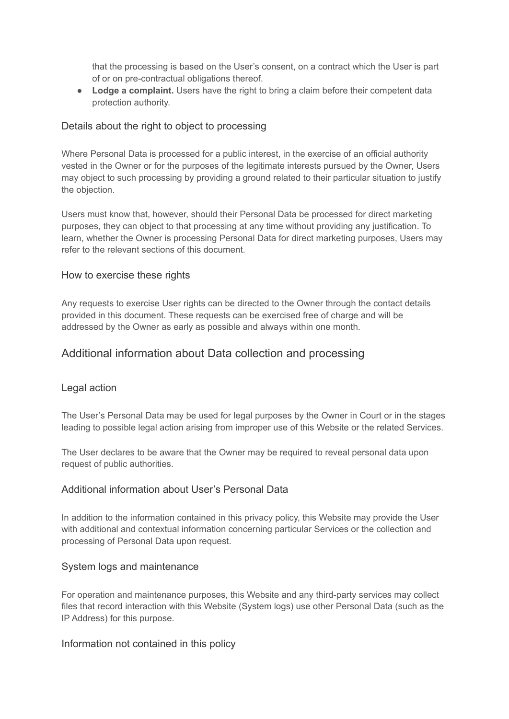that the processing is based on the User's consent, on a contract which the User is part of or on pre-contractual obligations thereof.

● **Lodge a complaint.** Users have the right to bring a claim before their competent data protection authority.

## Details about the right to object to processing

Where Personal Data is processed for a public interest, in the exercise of an official authority vested in the Owner or for the purposes of the legitimate interests pursued by the Owner, Users may object to such processing by providing a ground related to their particular situation to justify the objection.

Users must know that, however, should their Personal Data be processed for direct marketing purposes, they can object to that processing at any time without providing any justification. To learn, whether the Owner is processing Personal Data for direct marketing purposes, Users may refer to the relevant sections of this document.

## How to exercise these rights

Any requests to exercise User rights can be directed to the Owner through the contact details provided in this document. These requests can be exercised free of charge and will be addressed by the Owner as early as possible and always within one month.

# Additional information about Data collection and processing

## Legal action

The User's Personal Data may be used for legal purposes by the Owner in Court or in the stages leading to possible legal action arising from improper use of this Website or the related Services.

The User declares to be aware that the Owner may be required to reveal personal data upon request of public authorities.

## Additional information about User's Personal Data

In addition to the information contained in this privacy policy, this Website may provide the User with additional and contextual information concerning particular Services or the collection and processing of Personal Data upon request.

## System logs and maintenance

For operation and maintenance purposes, this Website and any third-party services may collect files that record interaction with this Website (System logs) use other Personal Data (such as the IP Address) for this purpose.

## Information not contained in this policy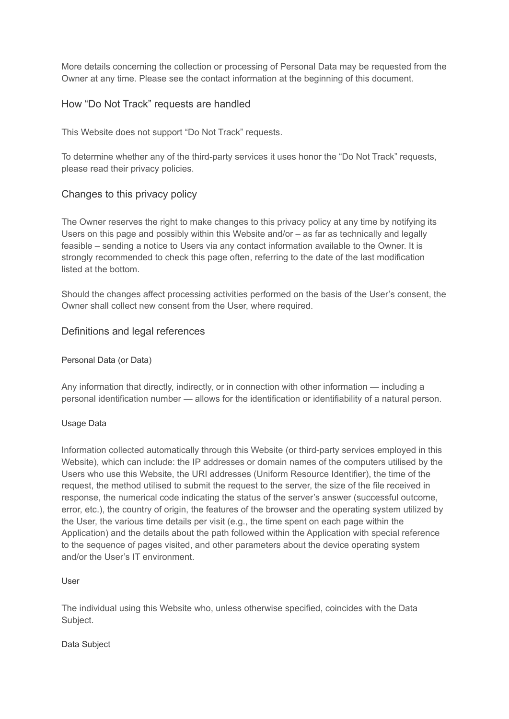More details concerning the collection or processing of Personal Data may be requested from the Owner at any time. Please see the contact information at the beginning of this document.

# How "Do Not Track" requests are handled

This Website does not support "Do Not Track" requests.

To determine whether any of the third-party services it uses honor the "Do Not Track" requests, please read their privacy policies.

# Changes to this privacy policy

The Owner reserves the right to make changes to this privacy policy at any time by notifying its Users on this page and possibly within this Website and/or – as far as technically and legally feasible – sending a notice to Users via any contact information available to the Owner. It is strongly recommended to check this page often, referring to the date of the last modification listed at the bottom.

Should the changes affect processing activities performed on the basis of the User's consent, the Owner shall collect new consent from the User, where required.

# Definitions and legal references

## Personal Data (or Data)

Any information that directly, indirectly, or in connection with other information — including a personal identification number — allows for the identification or identifiability of a natural person.

## Usage Data

Information collected automatically through this Website (or third-party services employed in this Website), which can include: the IP addresses or domain names of the computers utilised by the Users who use this Website, the URI addresses (Uniform Resource Identifier), the time of the request, the method utilised to submit the request to the server, the size of the file received in response, the numerical code indicating the status of the server's answer (successful outcome, error, etc.), the country of origin, the features of the browser and the operating system utilized by the User, the various time details per visit (e.g., the time spent on each page within the Application) and the details about the path followed within the Application with special reference to the sequence of pages visited, and other parameters about the device operating system and/or the User's IT environment.

User

The individual using this Website who, unless otherwise specified, coincides with the Data Subject.

#### Data Subject